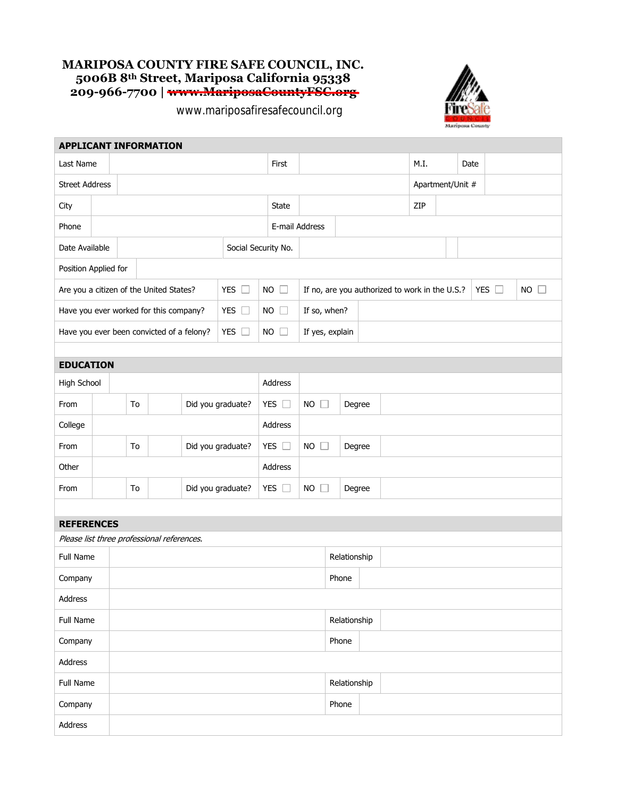## **MARIPOSA COUNTY FIRE SAFE COUNCIL, INC. 5006B 8th Street, Mariposa California 95338 209-966-7700 | www.MariposaCountyFSC.org**

www.mariposafiresafecouncil.org



|                                                            |  |                         | <b>APPLICANT INFORMATION</b>               |  |           |                |                 |                                 |              |                                                |                  |  |  |               |                |
|------------------------------------------------------------|--|-------------------------|--------------------------------------------|--|-----------|----------------|-----------------|---------------------------------|--------------|------------------------------------------------|------------------|--|--|---------------|----------------|
| Last Name                                                  |  |                         |                                            |  | First     |                |                 |                                 | M.I.         |                                                | Date             |  |  |               |                |
| <b>Street Address</b>                                      |  |                         |                                            |  |           |                |                 |                                 |              |                                                | Apartment/Unit # |  |  |               |                |
| City                                                       |  |                         |                                            |  |           |                | State           |                                 |              |                                                | ZIP              |  |  |               |                |
| Phone                                                      |  |                         |                                            |  |           |                | E-mail Address  |                                 |              |                                                |                  |  |  |               |                |
| Date Available<br>Social Security No.                      |  |                         |                                            |  |           |                |                 |                                 |              |                                                |                  |  |  |               |                |
| Position Applied for                                       |  |                         |                                            |  |           |                |                 |                                 |              |                                                |                  |  |  |               |                |
| Are you a citizen of the United States?<br>YES $\square$   |  |                         |                                            |  |           | <b>NO</b>      | $\Box$          |                                 |              | If no, are you authorized to work in the U.S.? |                  |  |  | YES $\square$ | <b>NO</b><br>H |
| YES $\square$<br>Have you ever worked for this company?    |  |                         |                                            |  | <b>NO</b> | $\Box$         | If so, when?    |                                 |              |                                                |                  |  |  |               |                |
| YES $\square$<br>Have you ever been convicted of a felony? |  |                         |                                            |  | <b>NO</b> | $\mathbb{R}^n$ | If yes, explain |                                 |              |                                                |                  |  |  |               |                |
|                                                            |  |                         |                                            |  |           |                |                 |                                 |              |                                                |                  |  |  |               |                |
| <b>EDUCATION</b>                                           |  |                         |                                            |  |           |                |                 |                                 |              |                                                |                  |  |  |               |                |
| High School                                                |  |                         |                                            |  |           | Address        |                 |                                 |              |                                                |                  |  |  |               |                |
| From                                                       |  | Did you graduate?<br>To |                                            |  |           |                | YES $\square$   | <b>NO</b><br>$\mathbb{R}$       | Degree       |                                                |                  |  |  |               |                |
| College                                                    |  |                         |                                            |  |           |                | Address         |                                 |              |                                                |                  |  |  |               |                |
| From                                                       |  | To<br>Did you graduate? |                                            |  |           |                | YES $\square$   | <b>NO</b><br>ш                  | Degree       |                                                |                  |  |  |               |                |
| Other                                                      |  |                         |                                            |  |           |                | Address         |                                 |              |                                                |                  |  |  |               |                |
| From                                                       |  | Did you graduate?<br>To |                                            |  |           |                | YES $\square$   | NO.<br>Degree<br>$\mathbb{R}^n$ |              |                                                |                  |  |  |               |                |
|                                                            |  |                         |                                            |  |           |                |                 |                                 |              |                                                |                  |  |  |               |                |
| <b>REFERENCES</b>                                          |  |                         |                                            |  |           |                |                 |                                 |              |                                                |                  |  |  |               |                |
|                                                            |  |                         | Please list three professional references. |  |           |                |                 |                                 |              |                                                |                  |  |  |               |                |
| Full Name                                                  |  |                         |                                            |  |           |                |                 |                                 | Relationship |                                                |                  |  |  |               |                |
| Company                                                    |  |                         |                                            |  |           |                |                 | Phone                           |              |                                                |                  |  |  |               |                |
| Address                                                    |  |                         |                                            |  |           |                |                 |                                 |              |                                                |                  |  |  |               |                |
| Full Name                                                  |  |                         |                                            |  |           |                | Relationship    |                                 |              |                                                |                  |  |  |               |                |
| Company                                                    |  |                         |                                            |  |           |                |                 | Phone                           |              |                                                |                  |  |  |               |                |
| Address                                                    |  |                         |                                            |  |           |                |                 |                                 |              |                                                |                  |  |  |               |                |
| Full Name                                                  |  |                         |                                            |  |           |                |                 | Relationship                    |              |                                                |                  |  |  |               |                |
| Company                                                    |  |                         |                                            |  |           |                |                 | Phone                           |              |                                                |                  |  |  |               |                |
| Address                                                    |  |                         |                                            |  |           |                |                 |                                 |              |                                                |                  |  |  |               |                |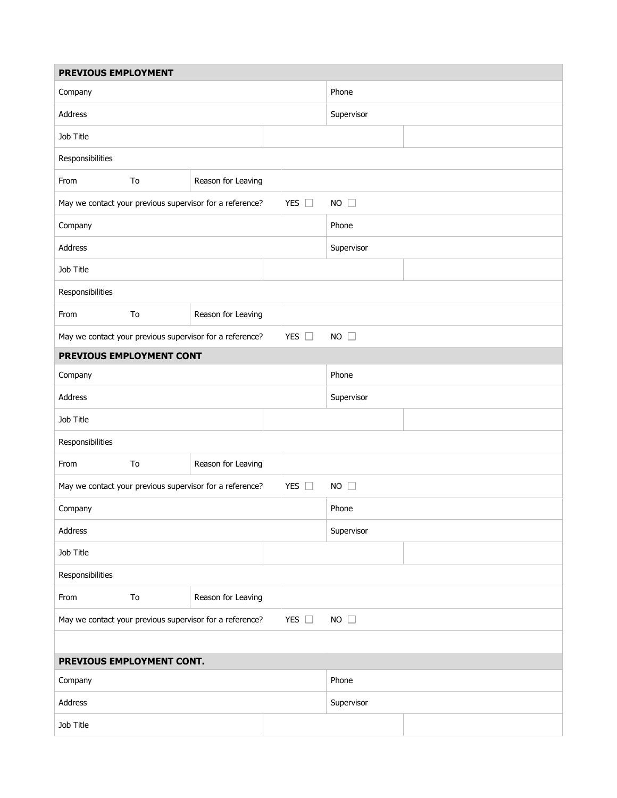| PREVIOUS EMPLOYMENT              |    |                                                          |                |  |  |  |  |  |  |
|----------------------------------|----|----------------------------------------------------------|----------------|--|--|--|--|--|--|
| Company                          |    |                                                          | Phone          |  |  |  |  |  |  |
| Address                          |    |                                                          | Supervisor     |  |  |  |  |  |  |
| Job Title                        |    |                                                          |                |  |  |  |  |  |  |
| Responsibilities                 |    |                                                          |                |  |  |  |  |  |  |
| From                             | To | Reason for Leaving                                       |                |  |  |  |  |  |  |
|                                  |    | May we contact your previous supervisor for a reference? | $NO$ $\square$ |  |  |  |  |  |  |
| Company                          |    |                                                          | Phone          |  |  |  |  |  |  |
| Address                          |    |                                                          | Supervisor     |  |  |  |  |  |  |
| Job Title                        |    |                                                          |                |  |  |  |  |  |  |
| Responsibilities                 |    |                                                          |                |  |  |  |  |  |  |
| To<br>Reason for Leaving<br>From |    |                                                          |                |  |  |  |  |  |  |
|                                  |    | May we contact your previous supervisor for a reference? | $NO$ $\Box$    |  |  |  |  |  |  |
| PREVIOUS EMPLOYMENT CONT         |    |                                                          |                |  |  |  |  |  |  |
| Company                          |    |                                                          | Phone          |  |  |  |  |  |  |
| Address                          |    |                                                          | Supervisor     |  |  |  |  |  |  |
| Job Title                        |    |                                                          |                |  |  |  |  |  |  |
| Responsibilities                 |    |                                                          |                |  |  |  |  |  |  |
| From                             | To | Reason for Leaving                                       |                |  |  |  |  |  |  |
|                                  |    | May we contact your previous supervisor for a reference? | $NO$ $\square$ |  |  |  |  |  |  |
| Company                          |    |                                                          | Phone          |  |  |  |  |  |  |
| Address                          |    |                                                          | Supervisor     |  |  |  |  |  |  |
| Job Title                        |    |                                                          |                |  |  |  |  |  |  |
| Responsibilities                 |    |                                                          |                |  |  |  |  |  |  |
| From                             | To | Reason for Leaving                                       |                |  |  |  |  |  |  |
|                                  |    | May we contact your previous supervisor for a reference? | $NO$ $\square$ |  |  |  |  |  |  |
|                                  |    |                                                          |                |  |  |  |  |  |  |
| PREVIOUS EMPLOYMENT CONT.        |    |                                                          |                |  |  |  |  |  |  |
| Company                          |    |                                                          | Phone          |  |  |  |  |  |  |
| Address                          |    |                                                          | Supervisor     |  |  |  |  |  |  |
| Job Title                        |    |                                                          |                |  |  |  |  |  |  |